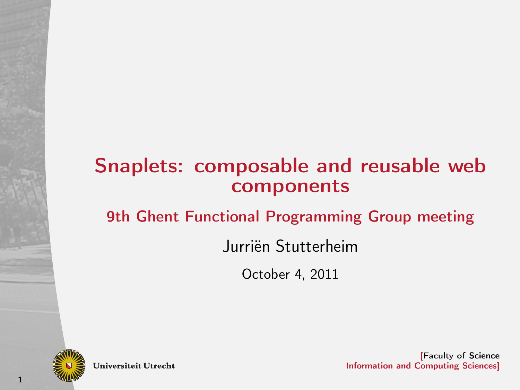## Snaplets: composable and reusable web components

### 9th Ghent Functional Programming Group meeting

### Jurriën Stutterheim

October 4, 2011



**Universiteit Utrecht**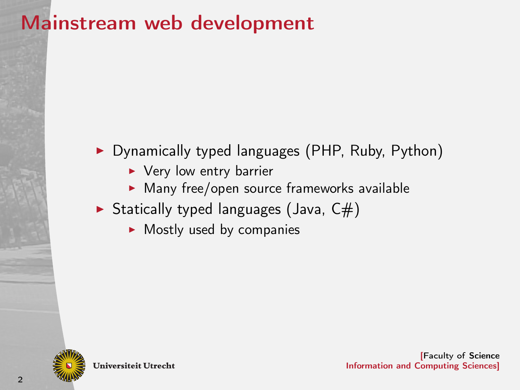# Mainstream web development

### ▶ Dynamically typed languages (PHP, Ruby, Python)

- $\blacktriangleright$  Very low entry barrier
- $\blacktriangleright$  Many free/open source frameworks available
- Statically typed languages (Java,  $C#$ )
	- $\blacktriangleright$  Mostly used by companies



**Universiteit Utrecht**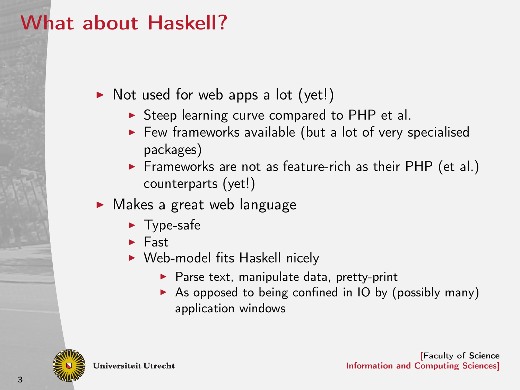# What about Haskell?

 $\triangleright$  Not used for web apps a lot (yet!)

- $\triangleright$  Steep learning curve compared to PHP et al.
- $\blacktriangleright$  Few frameworks available (but a lot of very specialised packages)
- Frameworks are not as feature-rich as their PHP (et al.) counterparts (yet!)
- $\blacktriangleright$  Makes a great web language
	- $\blacktriangleright$  Type-safe
	- $\blacktriangleright$  Fast
	- $\triangleright$  Web-model fits Haskell nicely
		- $\blacktriangleright$  Parse text, manipulate data, pretty-print
		- $\triangleright$  As opposed to being confined in IO by (possibly many) application windows



**Universiteit Utrecht**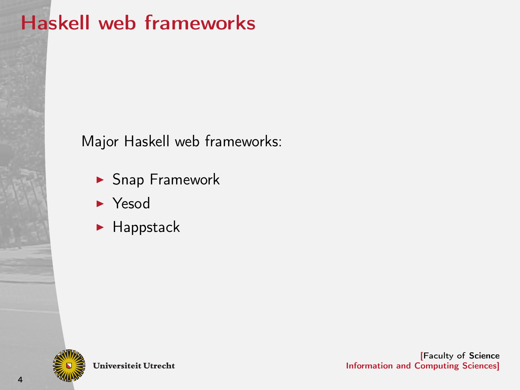# Haskell web frameworks

Major Haskell web frameworks:

- $\blacktriangleright$  Snap Framework
- $\blacktriangleright$  Yesod
- $\blacktriangleright$  Happstack



**Universiteit Utrecht**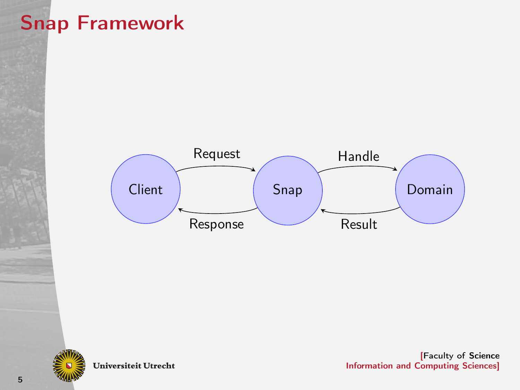# Snap Framework





Universiteit Utrecht

[Faculty of Science Information and Computing Sciences]

5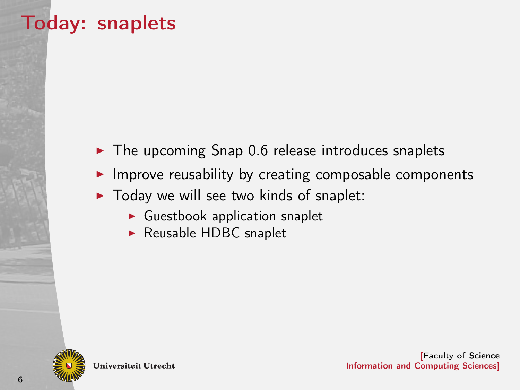# Today: snaplets

- $\triangleright$  The upcoming Snap 0.6 release introduces snaplets
- $\blacktriangleright$  Improve reusability by creating composable components
- $\triangleright$  Today we will see two kinds of snaplet:
	- $\blacktriangleright$  Guestbook application snaplet
	- $\blacktriangleright$  Reusable HDBC snaplet



**Universiteit Utrecht**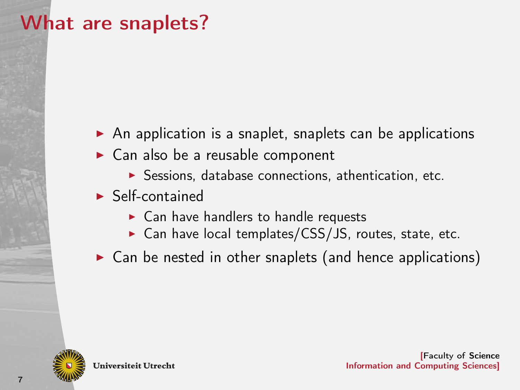# What are snaplets?

- $\triangleright$  An application is a snaplet, snaplets can be applications
- $\triangleright$  Can also be a reusable component
	- $\blacktriangleright$  Sessions, database connections, athentication, etc.
- $\blacktriangleright$  Self-contained
	- $\blacktriangleright$  Can have handlers to handle requests
	- $\triangleright$  Can have local templates/CSS/JS, routes, state, etc.
- $\triangleright$  Can be nested in other snaplets (and hence applications)



**Universiteit Utrecht**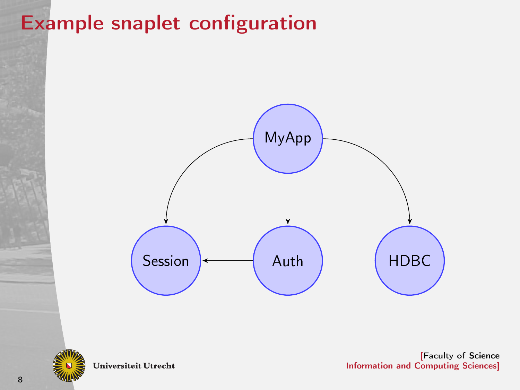# Example snaplet configuration





**Universiteit Utrecht**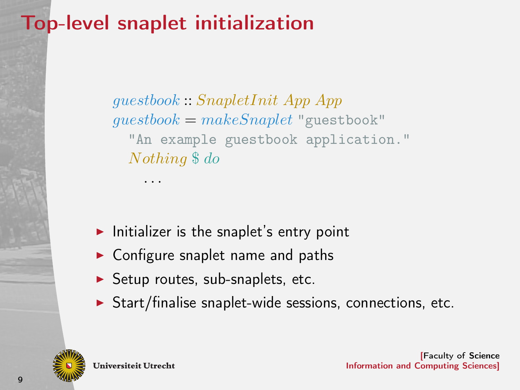# Top-level snaplet initialization

. . .

guestbook :: SnapletInit App App  $questbook = makeSample$  "guestbook" "An example guestbook application." Nothing \$ do

- $\blacktriangleright$  Initializer is the snaplet's entry point
- $\triangleright$  Configure snaplet name and paths
- $\blacktriangleright$  Setup routes, sub-snaplets, etc.
- $\triangleright$  Start/finalise snaplet-wide sessions, connections, etc.



**Universiteit Utrecht**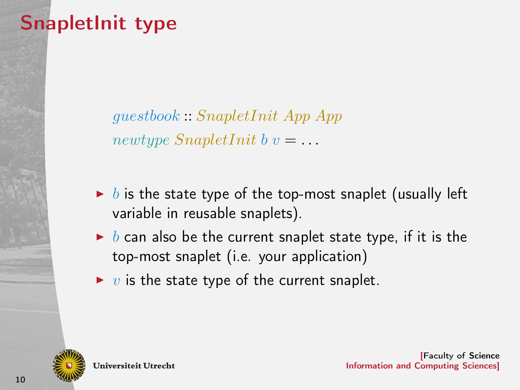# SnapletInit type

guestbook :: SnapletInit App App newtype  $SnapletInit b v = ...$ 

- $\triangleright$  b is the state type of the top-most snaplet (usually left variable in reusable snaplets).
- $\triangleright$  b can also be the current snaplet state type, if it is the top-most snaplet (i.e. your application)
- $\triangleright$  v is the state type of the current snaplet.



**Universiteit Utrecht**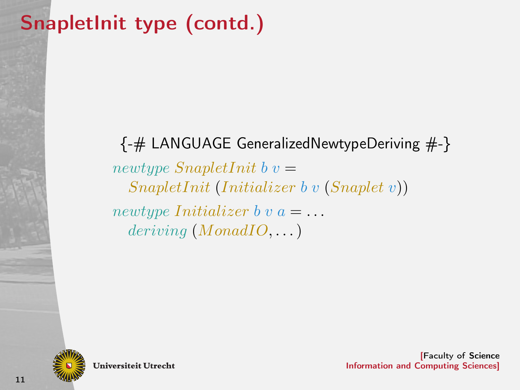# SnapletInit type (contd.)

{-# LANGUAGE GeneralizedNewtypeDeriving #-} newtype  $SnapletInit b v =$ SnapletInit (Initializer b v (Snaplet v)) newtype Initializer b v  $a = \ldots$  $deriving (MonadIO, ...)$ 



**Universiteit Utrecht**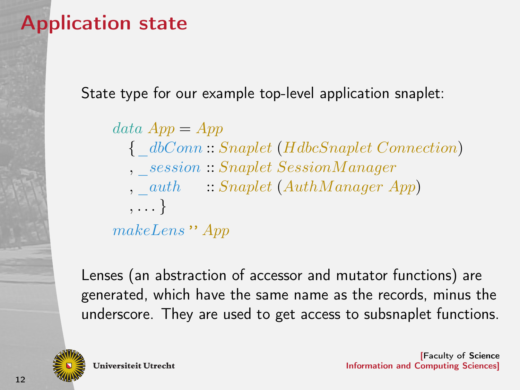# Application state

State type for our example top-level application snaplet:

 $data$   $App = App$ {\_dbConn :: Snaplet (HdbcSnaplet Connection) , \_session :: Snaplet SessionM anager ,  $\alpha$ uth  $\therefore$  Snaplet (AuthManager App) , . . . } makeLens " App

Lenses (an abstraction of accessor and mutator functions) are generated, which have the same name as the records, minus the underscore. They are used to get access to subsnaplet functions.



**Universiteit Utrecht**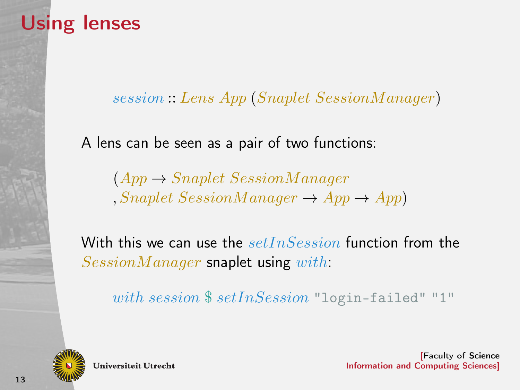# Using lenses

session :: Lens App (Snaplet SessionM anager)

A lens can be seen as a pair of two functions:

 $(App \rightarrow Snaplet SessionManager$  $, Samplet \, SessionManager \rightarrow App \rightarrow App$ 

With this we can use the  $setInSession$  function from the  $SessionManager$  snaplet using with:

with session \$ setInSession "login-failed" "1"



**Universiteit Utrecht**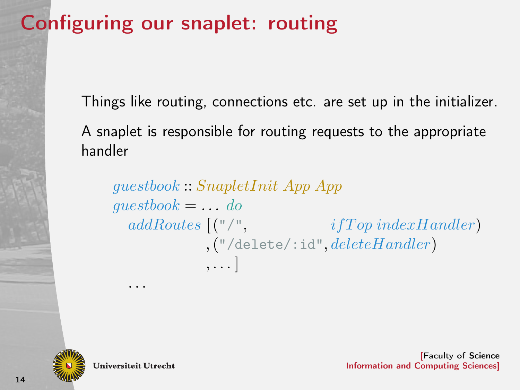# Configuring our snaplet: routing

Things like routing, connections etc. are set up in the initializer. A snaplet is responsible for routing requests to the appropriate handler

guestbook :: SnapletInit App App  $questbook = ... do$  $addRouters$   $($ "/",  $ifTop\ indexH andler)$  $, ("/delete/ : id", deleteHandler)$ , . . . ]



**Universiteit Utrecht** 

. . .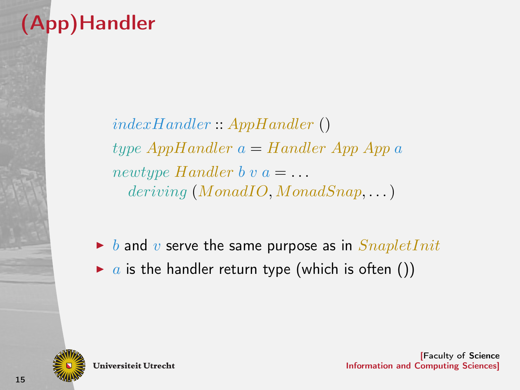# (App)Handler

indexHandler :: AppHandler () type  $AppHandler a = Handler App$  App a newtype Handler b v  $a = \ldots$  $deriving (MonadIO, MonadSnap, ...)$ 

 $\triangleright$  b and v serve the same purpose as in  $SnapletInit$ 

 $\triangleright$  a is the handler return type (which is often ())



**Universiteit Utrecht**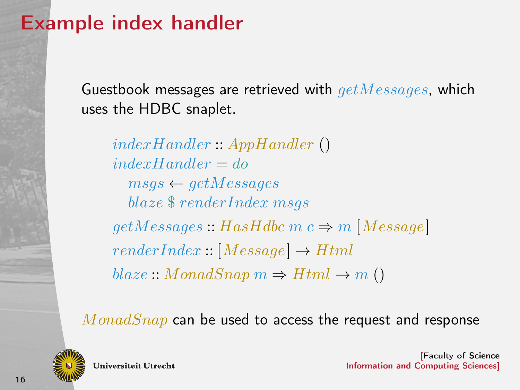## Example index handler

Guestbook messages are retrieved with  $getMessages$ , which uses the HDBC snaplet.

indexHandler :: AppHandler ()  $indexHandler = do$  $msqs \leftarrow getMessages$ blaze \$ renderIndex msqs  $getMessage: HasHdbc \ m \ c \Rightarrow m \ [Message]$  $renderIndex::[Message] \rightarrow Html$  $black:: \textit{MonadSnap } m \Rightarrow H \textit{trn1} \rightarrow m$  ()

 $MonadSnap$  can be used to access the request and response



**Universiteit Utrecht**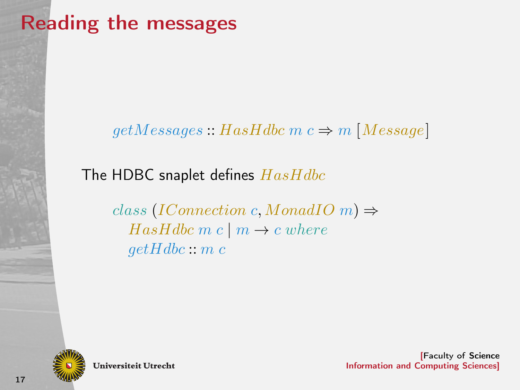# Reading the messages

#### $getMessage: HasHdbc \, m \, c \Rightarrow m \, [Message]$

The HDBC snaplet defines  $Hashdbc$ 

class (IConnection c, MonadIO m)  $\Rightarrow$  $HasHdbc$  m c | m  $\rightarrow$  c where  $getHdbc::m.c$ 



**Universiteit Utrecht**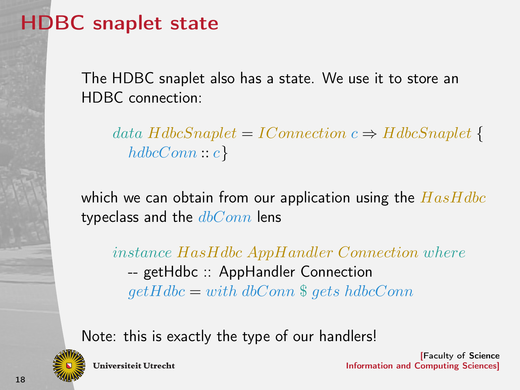# HDBC snaplet state

The HDBC snaplet also has a state. We use it to store an HDBC connection:

data  $H$ dbcSnaplet = IConnection  $c \Rightarrow H$ dbcSnaplet {  $hdbcConn :: c$ }

which we can obtain from our application using the  $Hashdbc$ typeclass and the  $dbConn$  lens

instance HasHdbc AppHandler Connection where -- getHdbc :: AppHandler Connection  $getHdbc = with dbConn \$  gets hdbcConn

Note: this is exactly the type of our handlers!



**Universiteit Utrecht**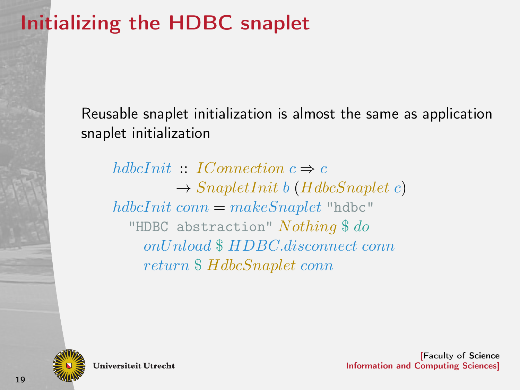# Initializing the HDBC snaplet

Reusable snaplet initialization is almost the same as application snaplet initialization

hdbcInit  $\cdot$  IConnection  $c \Rightarrow c$  $\rightarrow$  SnapletInit b (HdbcSnaplet c)  $hdbcInit conn = makeSnaplet "hdbc"$ "HDBC abstraction"  $Nothing \$ do$ onUnload \$ HDBC.disconnect conn return \$ HdbcSnaplet conn



**Universiteit Utrecht**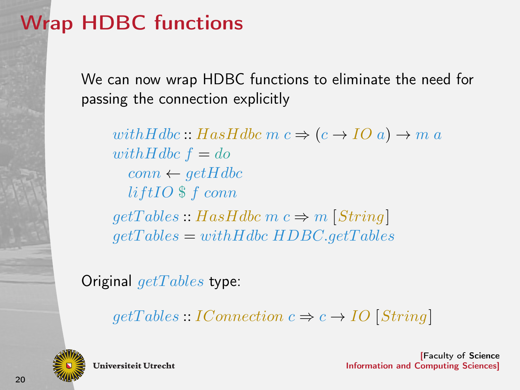# Wrap HDBC functions

We can now wrap HDBC functions to eliminate the need for passing the connection explicitly

with Hdbc :: Has Hdbc m  $c \Rightarrow (c \rightarrow IOa) \rightarrow m a$ with Hdbc  $f = do$  $conn \leftarrow getHdbc$  $liftIO$  \$  $f$  conn  $getTables :: HasHdbc \ m \ c \Rightarrow m \ [String]$  $qetTables = withHdbc HDBC.getTables$ 

Original  $qet Tables$  type:

 $getTables::IConnection c \Rightarrow c \rightarrow IO|String|$ 



**Universiteit Utrecht**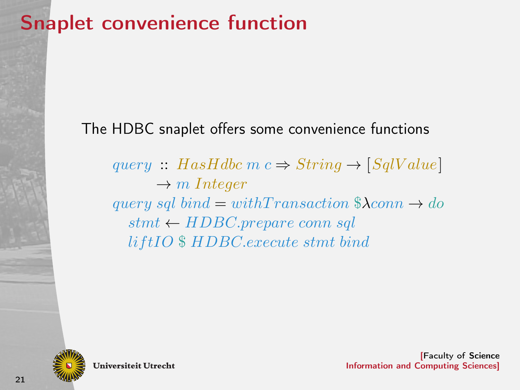## Snaplet convenience function

### The HDBC snaplet offers some convenience functions

query :: HasHdbc m  $c \Rightarrow String \rightarrow [SqValue]$  $\rightarrow m$  Integer query sql bind = withTransaction  $\lambda$ conn  $\rightarrow$  do  $stmt \leftarrow HDBC-prepare conn \, sal$ lif tIO \$ HDBC.execute stmt bind



**Universiteit Utrecht**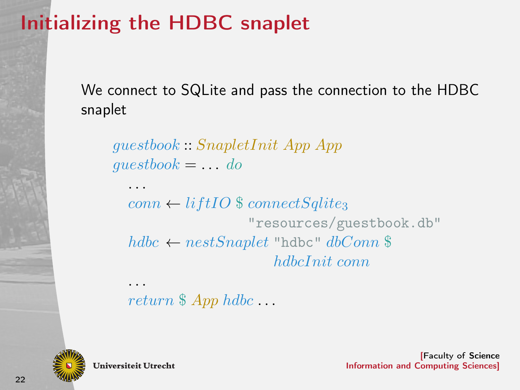# Initializing the HDBC snaplet

We connect to SQLite and pass the connection to the HDBC snaplet

guestbook :: SnapletInit App App  $questbook = \ldots do$ 

 $conn \leftarrow liftIO$  \$ connect Sqlite<sub>3</sub> "resources/guestbook.db"  $hdbc \leftarrow nestSnaplet$  "hdbc"  $dbConn$  \$ hdbcInit conn

return  $\$\,App \,hdbc \dots$ 



**Universiteit Utrecht** 

. . .

. . .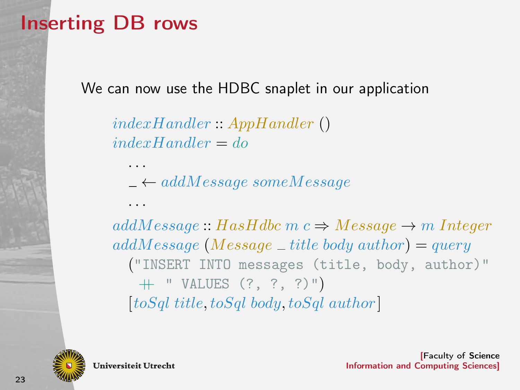## Inserting DB rows

We can now use the HDBC snaplet in our application

indexHandler :: AppHandler ()  $indexHandler = do$ 

 $-\leftarrow addMessage someMessage$ 

 $addMessage::Hashdbc \ m \ c \Rightarrow Message \rightarrow m\ Integer$  $addMessage$  (Message \_title body author) = query ("INSERT INTO messages (title, body, author)" ++ " VALUES (?, ?, ?)")  $[toSql title, toSql body, toSql author]$ 



**Universiteit Utrecht** 

. . .

. . .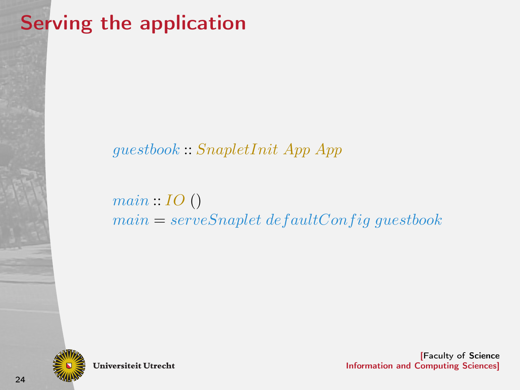# Serving the application

### guestbook :: SnapletInit App App

 $main: IO()$  $main = serveSnaplet defaultConfig\text{}^\dagger\text{}$ 



**Universiteit Utrecht**